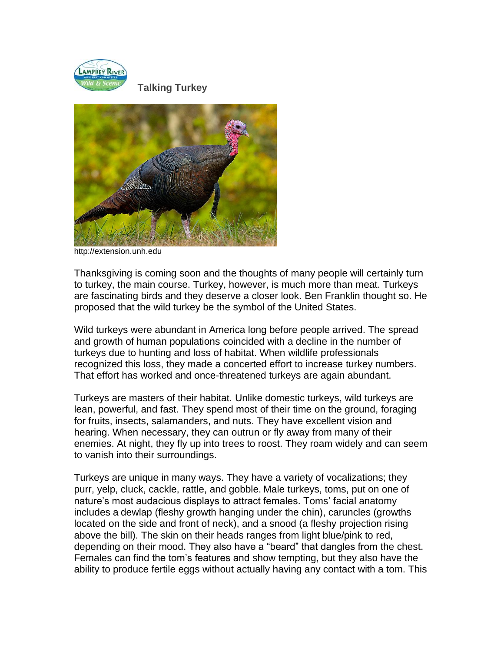

 **Talking Turkey**



http://extension.unh.edu

Thanksgiving is coming soon and the thoughts of many people will certainly turn to turkey, the main course. Turkey, however, is much more than meat. Turkeys are fascinating birds and they deserve a closer look. Ben Franklin thought so. He proposed that the wild turkey be the symbol of the United States.

Wild turkeys were abundant in America long before people arrived. The spread and growth of human populations coincided with a decline in the number of turkeys due to hunting and loss of habitat. When wildlife professionals recognized this loss, they made a concerted effort to increase turkey numbers. That effort has worked and once-threatened turkeys are again abundant.

Turkeys are masters of their habitat. Unlike domestic turkeys, wild turkeys are lean, powerful, and fast. They spend most of their time on the ground, foraging for fruits, insects, salamanders, and nuts. They have excellent vision and hearing. When necessary, they can outrun or fly away from many of their enemies. At night, they fly up into trees to roost. They roam widely and can seem to vanish into their surroundings.

Turkeys are unique in many ways. They have a variety of vocalizations; they purr, yelp, cluck, cackle, rattle, and gobble. Male turkeys, toms, put on one of nature's most audacious displays to attract females. Toms' facial anatomy includes a dewlap (fleshy growth hanging under the chin), caruncles (growths located on the side and front of neck), and a snood (a fleshy projection rising above the bill). The skin on their heads ranges from light blue/pink to red, depending on their mood. They also have a "beard" that dangles from the chest. Females can find the tom's features and show tempting, but they also have the ability to produce fertile eggs without actually having any contact with a tom. This